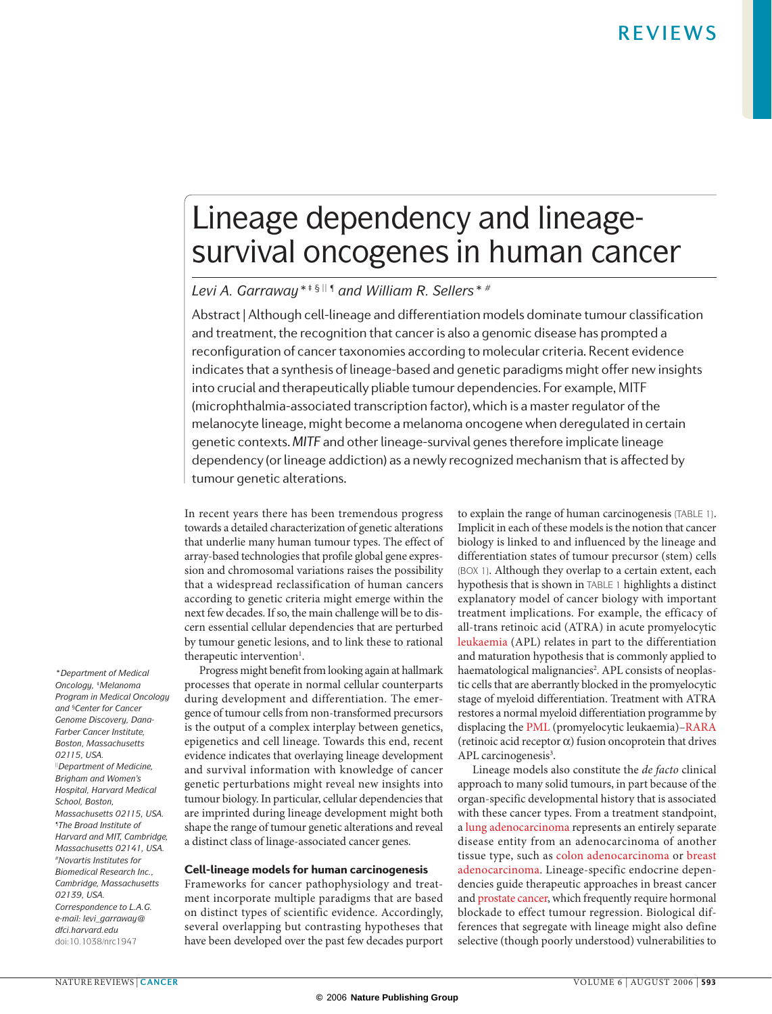# Lineage dependency and lineagesurvival oncogenes in human cancer

*Levi A. Garraway\*‡ § || ¶ and William R. Sellers\* #*

Abstract | Although cell-lineage and differentiation models dominate tumour classification and treatment, the recognition that cancer is also a genomic disease has prompted a reconfiguration of cancer taxonomies according to molecular criteria. Recent evidence indicates that a synthesis of lineage-based and genetic paradigms might offer new insights into crucial and therapeutically pliable tumour dependencies. For example, MITF (microphthalmia-associated transcription factor), which is a master regulator of the melanocyte lineage, might become a melanoma oncogene when deregulated in certain genetic contexts. *MITF* and other lineage-survival genes therefore implicate lineage dependency (or lineage addiction) as a newly recognized mechanism that is affected by tumour genetic alterations.

In recent years there has been tremendous progress towards a detailed characterization of genetic alterations that underlie many human tumour types. The effect of array-based technologies that profile global gene expression and chromosomal variations raises the possibility that a widespread reclassification of human cancers according to genetic criteria might emerge within the next few decades. If so, the main challenge will be to discern essential cellular dependencies that are perturbed by tumour genetic lesions, and to link these to rational therapeutic intervention<sup>1</sup>.

Progress might benefit from looking again at hallmark processes that operate in normal cellular counterparts during development and differentiation. The emergence of tumour cells from non-transformed precursors is the output of a complex interplay between genetics, epigenetics and cell lineage. Towards this end, recent evidence indicates that overlaying lineage development and survival information with knowledge of cancer genetic perturbations might reveal new insights into tumour biology. In particular, cellular dependencies that are imprinted during lineage development might both shape the range of tumour genetic alterations and reveal a distinct class of linage-associated cancer genes.

### Cell-lineage models for human carcinogenesis

Frameworks for cancer pathophysiology and treatment incorporate multiple paradigms that are based on distinct types of scientific evidence. Accordingly, several overlapping but contrasting hypotheses that have been developed over the past few decades purport to explain the range of human carcinogenesis (TABLE 1). Implicit in each of these models is the notion that cancer biology is linked to and influenced by the lineage and differentiation states of tumour precursor (stem) cells (BOX 1). Although they overlap to a certain extent, each hypothesis that is shown in TABLE 1 highlights a distinct explanatory model of cancer biology with important treatment implications. For example, the efficacy of all-trans retinoic acid (ATRA) in acute promyelocytic leukaemia (APL) relates in part to the differentiation and maturation hypothesis that is commonly applied to haematological malignancies<sup>2</sup>. APL consists of neoplastic cells that are aberrantly blocked in the promyelocytic stage of myeloid differentiation. Treatment with ATRA restores a normal myeloid differentiation programme by displacing the PML (promyelocytic leukaemia)–RARA (retinoic acid receptor  $\alpha$ ) fusion oncoprotein that drives APL carcinogenesis<sup>3</sup>.

Lineage models also constitute the *de facto* clinical approach to many solid tumours, in part because of the organ-specific developmental history that is associated with these cancer types. From a treatment standpoint, a lung adenocarcinoma represents an entirely separate disease entity from an adenocarcinoma of another tissue type, such as colon adenocarcinoma or breast adenocarcinoma. Lineage-specific endocrine dependencies guide therapeutic approaches in breast cancer and prostate cancer, which frequently require hormonal blockade to effect tumour regression. Biological differences that segregate with lineage might also define selective (though poorly understood) vulnerabilities to

*\*Department of Medical Oncology, ‡Melanoma Program in Medical Oncology and §Center for Cancer Genome Discovery, Dana-Farber Cancer Institute, Boston, Massachusetts 02115, USA. ||Department of Medicine, Brigham and Women's Hospital, Harvard Medical School, Boston, Massachusetts 02115, USA. ¶The Broad Institute of Harvard and MIT, Cambridge, Massachusetts 02141, USA. #Novartis Institutes for Biomedical Research Inc., Cambridge, Massachusetts 02139, USA. Correspondence to L.A.G. e-mail: levi\_garraway@ dfci.harvard.edu* doi:10.1038/nrc1947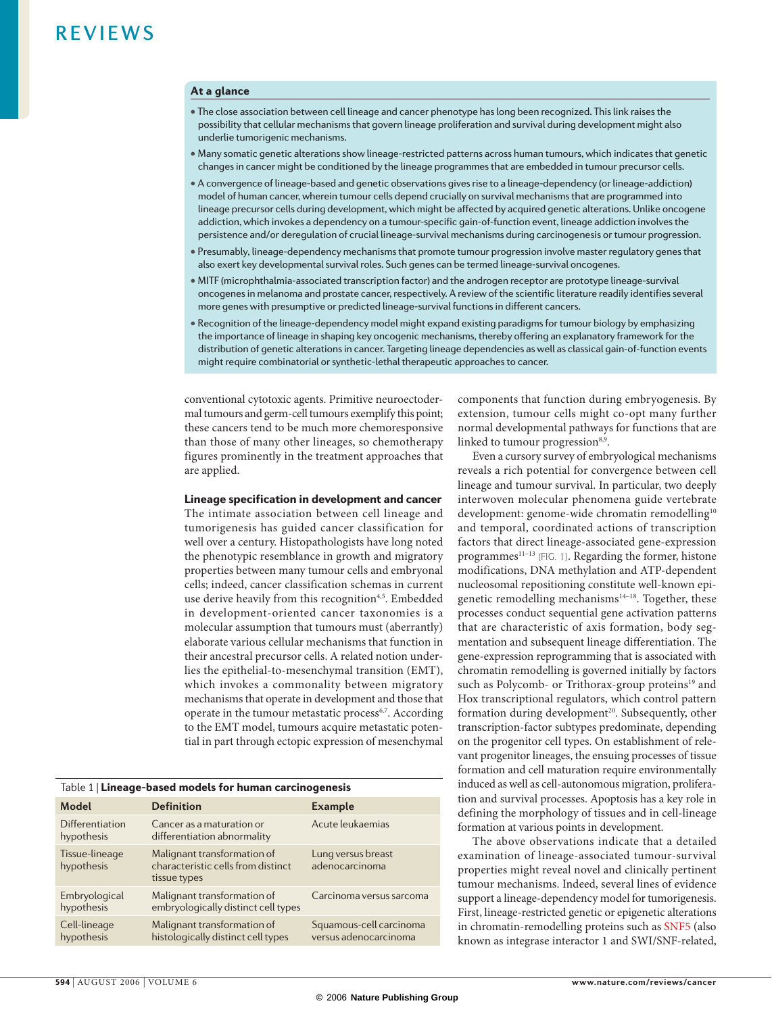### At a glance

- The close association between cell lineage and cancer phenotype has long been recognized. This link raises the possibility that cellular mechanisms that govern lineage proliferation and survival during development might also underlie tumorigenic mechanisms.
- Many somatic genetic alterations show lineage-restricted patterns across human tumours, which indicates that genetic changes in cancer might be conditioned by the lineage programmes that are embedded in tumour precursor cells.
- A convergence of lineage-based and genetic observations gives rise to a lineage-dependency (or lineage-addiction) model of human cancer, wherein tumour cells depend crucially on survival mechanisms that are programmed into lineage precursor cells during development, which might be affected by acquired genetic alterations. Unlike oncogene addiction, which invokes a dependency on a tumour-specific gain-of-function event, lineage addiction involves the persistence and/or deregulation of crucial lineage-survival mechanisms during carcinogenesis or tumour progression.
- Presumably, lineage-dependency mechanisms that promote tumour progression involve master regulatory genes that also exert key developmental survival roles. Such genes can be termed lineage-survival oncogenes.
- MITF (microphthalmia-associated transcription factor) and the androgen receptor are prototype lineage-survival oncogenes in melanoma and prostate cancer, respectively. A review of the scientific literature readily identifies several more genes with presumptive or predicted lineage-survival functions in different cancers.
- Recognition of the lineage-dependency model might expand existing paradigms for tumour biology by emphasizing the importance of lineage in shaping key oncogenic mechanisms, thereby offering an explanatory framework for the distribution of genetic alterations in cancer. Targeting lineage dependencies as well as classical gain-of-function events might require combinatorial or synthetic-lethal therapeutic approaches to cancer.

conventional cytotoxic agents. Primitive neuroectodermal tumours and germ-cell tumours exemplify this point; these cancers tend to be much more chemoresponsive than those of many other lineages, so chemotherapy figures prominently in the treatment approaches that are applied.

### Lineage specification in development and cancer

The intimate association between cell lineage and tumorigenesis has guided cancer classification for well over a century. Histopathologists have long noted the phenotypic resemblance in growth and migratory properties between many tumour cells and embryonal cells; indeed, cancer classification schemas in current use derive heavily from this recognition<sup>4,5</sup>. Embedded in development-oriented cancer taxonomies is a molecular assumption that tumours must (aberrantly) elaborate various cellular mechanisms that function in their ancestral precursor cells. A related notion underlies the epithelial-to-mesenchymal transition (EMT), which invokes a commonality between migratory mechanisms that operate in development and those that operate in the tumour metastatic process<sup>6,7</sup>. According to the EMT model, tumours acquire metastatic potential in part through ectopic expression of mesenchymal

| Table 1   Lineage-based models for human carcinogenesis |  |  |
|---------------------------------------------------------|--|--|
|                                                         |  |  |

| Model                         | <b>Definition</b>                                                                 | <b>Example</b>                                   |
|-------------------------------|-----------------------------------------------------------------------------------|--------------------------------------------------|
| Differentiation<br>hypothesis | Cancer as a maturation or<br>differentiation abnormality                          | Acute leukaemias                                 |
| Tissue-lineage<br>hypothesis  | Malignant transformation of<br>characteristic cells from distinct<br>tissue types | Lung versus breast<br>adenocarcinoma             |
| Embryological<br>hypothesis   | Malignant transformation of<br>embryologically distinct cell types                | Carcinoma versus sarcoma                         |
| Cell-lineage<br>hypothesis    | Malignant transformation of<br>histologically distinct cell types                 | Squamous-cell carcinoma<br>versus adenocarcinoma |

components that function during embryogenesis. By extension, tumour cells might co-opt many further normal developmental pathways for functions that are linked to tumour progression<sup>8,9</sup>.

Even a cursory survey of embryological mechanisms reveals a rich potential for convergence between cell lineage and tumour survival. In particular, two deeply interwoven molecular phenomena guide vertebrate development: genome-wide chromatin remodelling<sup>10</sup> and temporal, coordinated actions of transcription factors that direct lineage-associated gene-expression programmes<sup>11-13</sup> (FIG. 1). Regarding the former, histone modifications, DNA methylation and ATP-dependent nucleosomal repositioning constitute well-known epigenetic remodelling mechanisms $14-18$ . Together, these processes conduct sequential gene activation patterns that are characteristic of axis formation, body segmentation and subsequent lineage differentiation. The gene-expression reprogramming that is associated with chromatin remodelling is governed initially by factors such as Polycomb- or Trithorax-group proteins<sup>19</sup> and Hox transcriptional regulators, which control pattern formation during development<sup>20</sup>. Subsequently, other transcription-factor subtypes predominate, depending on the progenitor cell types. On establishment of relevant progenitor lineages, the ensuing processes of tissue formation and cell maturation require environmentally induced as well as cell-autonomous migration, proliferation and survival processes. Apoptosis has a key role in defining the morphology of tissues and in cell-lineage formation at various points in development.

The above observations indicate that a detailed examination of lineage-associated tumour-survival properties might reveal novel and clinically pertinent tumour mechanisms. Indeed, several lines of evidence support a lineage-dependency model for tumorigenesis. First, lineage-restricted genetic or epigenetic alterations in chromatin-remodelling proteins such as SNF5 (also known as integrase interactor 1 and SWI/SNF-related,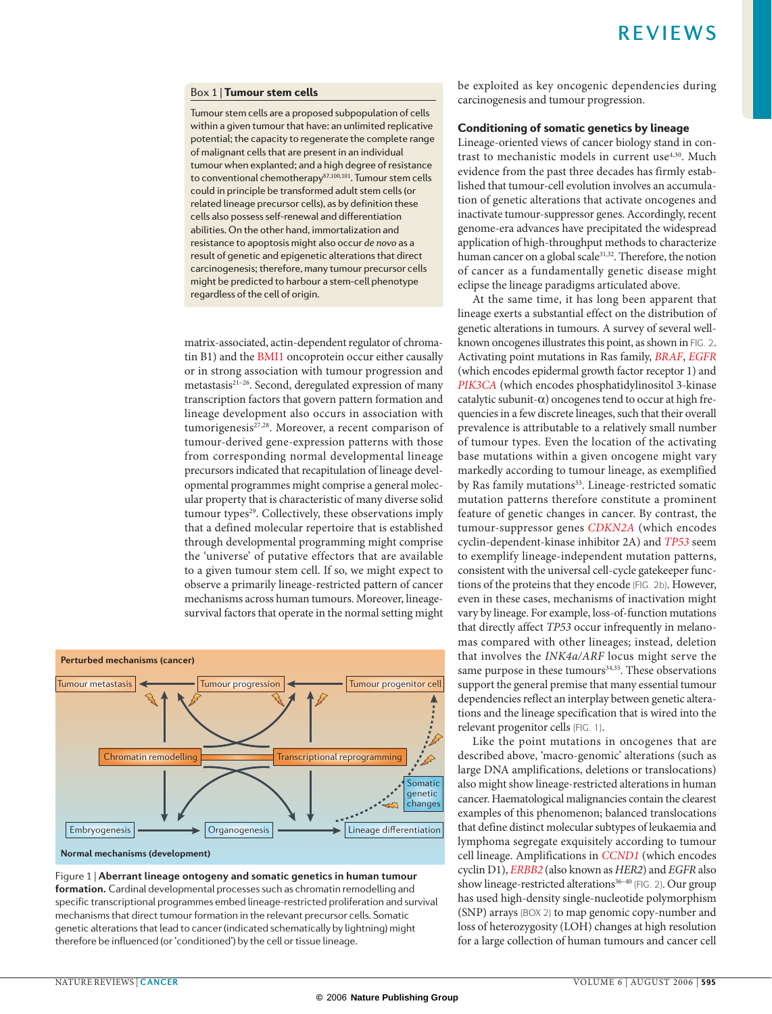### Box 1 | Tumour stem cells

Tumour stem cells are a proposed subpopulation of cells within a given tumour that have: an unlimited replicative potential; the capacity to regenerate the complete range of malignant cells that are present in an individual tumour when explanted; and a high degree of resistance to conventional chemotherapy<sup>87,100,101</sup>. Tumour stem cells could in principle be transformed adult stem cells (or related lineage precursor cells), as by definition these cells also possess self-renewal and differentiation abilities. On the other hand, immortalization and resistance to apoptosis might also occur *de novo* as a result of genetic and epigenetic alterations that direct carcinogenesis; therefore, many tumour precursor cells might be predicted to harbour a stem-cell phenotype regardless of the cell of origin.

matrix-associated, actin-dependent regulator of chromatin B1) and the BMI1 oncoprotein occur either causally or in strong association with tumour progression and metastasis<sup>21–26</sup>. Second, deregulated expression of many transcription factors that govern pattern formation and lineage development also occurs in association with tumorigenesis<sup>27,28</sup>. Moreover, a recent comparison of tumour-derived gene-expression patterns with those from corresponding normal developmental lineage precursors indicated that recapitulation of lineage developmental programmes might comprise a general molecular property that is characteristic of many diverse solid tumour types<sup>29</sup>. Collectively, these observations imply that a defined molecular repertoire that is established through developmental programming might comprise the 'universe' of putative effectors that are available to a given tumour stem cell. If so, we might expect to observe a primarily lineage-restricted pattern of cancer mechanisms across human tumours. Moreover, lineagesurvival factors that operate in the normal setting might



**Normal mechanisms (development)**

Figure 1 | **Aberrant lineage ontogeny and somatic genetics in human tumour formation.** Cardinal developmental processes such as chromatin remodelling and specific transcriptional programmes embed lineage-restricted proliferation and survival mechanisms that direct tumour formation in the relevant precursor cells. Somatic genetic alterations that lead to cancer (indicated schematically by lightning) might therefore be influenced (or 'conditioned') by the cell or tissue lineage.

be exploited as key oncogenic dependencies during carcinogenesis and tumour progression.

### Conditioning of somatic genetics by lineage

Lineage-oriented views of cancer biology stand in contrast to mechanistic models in current use<sup>4,30</sup>. Much evidence from the past three decades has firmly established that tumour-cell evolution involves an accumulation of genetic alterations that activate oncogenes and inactivate tumour-suppressor genes. Accordingly, recent genome-era advances have precipitated the widespread application of high-throughput methods to characterize human cancer on a global scale<sup>31,32</sup>. Therefore, the notion of cancer as a fundamentally genetic disease might eclipse the lineage paradigms articulated above.

At the same time, it has long been apparent that lineage exerts a substantial effect on the distribution of genetic alterations in tumours. A survey of several wellknown oncogenes illustrates this point, as shown in FIG. 2. Activating point mutations in Ras family, *BRAF*, *EGFR* (which encodes epidermal growth factor receptor 1) and *PIK3CA* (which encodes phosphatidylinositol 3-kinase catalytic subunit- $\alpha$ ) oncogenes tend to occur at high frequencies in a few discrete lineages, such that their overall prevalence is attributable to a relatively small number of tumour types. Even the location of the activating base mutations within a given oncogene might vary markedly according to tumour lineage, as exemplified by Ras family mutations<sup>33</sup>. Lineage-restricted somatic mutation patterns therefore constitute a prominent feature of genetic changes in cancer. By contrast, the tumour-suppressor genes *CDKN2A* (which encodes cyclin-dependent-kinase inhibitor 2A) and *TP53* seem to exemplify lineage-independent mutation patterns, consistent with the universal cell-cycle gatekeeper functions of the proteins that they encode (FIG. 2b). However, even in these cases, mechanisms of inactivation might vary by lineage. For example, loss-of-function mutations that directly affect *TP53* occur infrequently in melanomas compared with other lineages; instead, deletion that involves the *INK4a/ARF* locus might serve the same purpose in these tumours<sup>34,35</sup>. These observations support the general premise that many essential tumour dependencies reflect an interplay between genetic alterations and the lineage specification that is wired into the relevant progenitor cells (FIG. 1).

Like the point mutations in oncogenes that are described above, 'macro-genomic' alterations (such as large DNA amplifications, deletions or translocations) also might show lineage-restricted alterations in human cancer. Haematological malignancies contain the clearest examples of this phenomenon; balanced translocations that define distinct molecular subtypes of leukaemia and lymphoma segregate exquisitely according to tumour cell lineage. Amplifications in *CCND1* (which encodes cyclin D1), *ERBB2* (also known as *HER2*) and *EGFR* also show lineage-restricted alterations<sup>36-40</sup> (FIG. 2). Our group has used high-density single-nucleotide polymorphism (SNP) arrays (BOX 2) to map genomic copy-number and loss of heterozygosity (LOH) changes at high resolution for a large collection of human tumours and cancer cell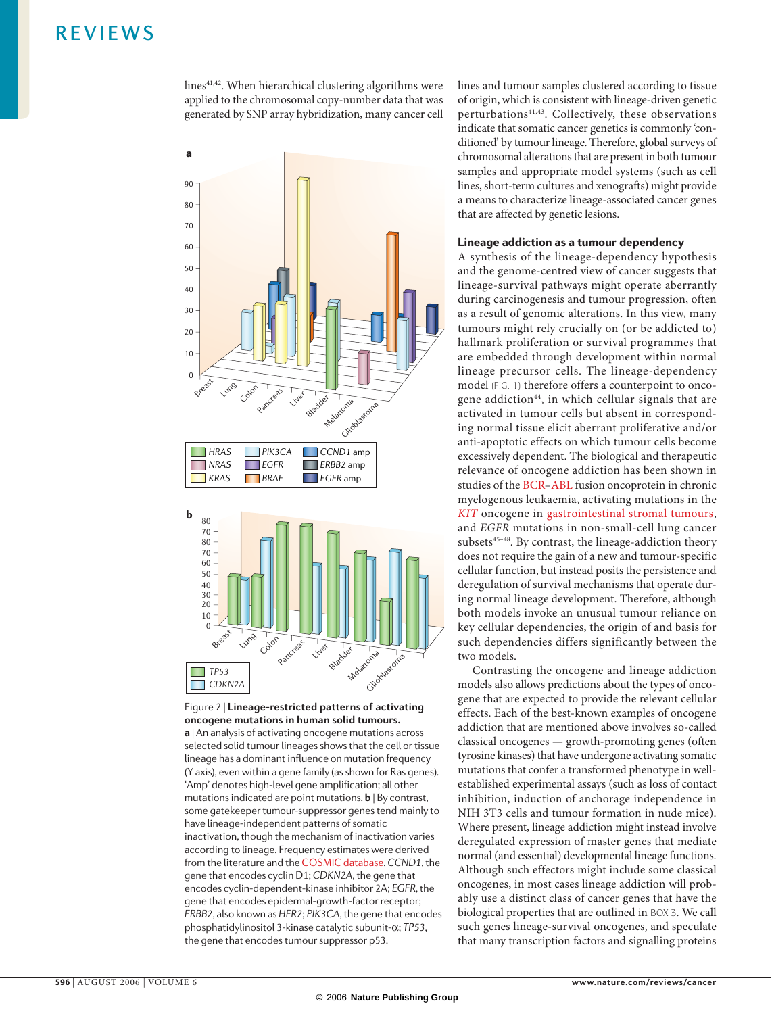lines<sup>41,42</sup>. When hierarchical clustering algorithms were applied to the chromosomal copy-number data that was generated by SNP array hybridization, many cancer cell



Figure 2 | **Lineage-restricted patterns of activating oncogene mutations in human solid tumours. a** | An analysis of activating oncogene mutations across selected solid tumour lineages shows that the cell or tissue lineage has a dominant influence on mutation frequency (Y axis), even within a gene family (as shown for Ras genes). 'Amp' denotes high-level gene amplification; all other mutations indicated are point mutations. **b** | By contrast, some gatekeeper tumour-suppressor genes tend mainly to have lineage-independent patterns of somatic inactivation, though the mechanism of inactivation varies according to lineage. Frequency estimates were derived from the literature and the COSMIC database. CCND1, the gene that encodes cyclin D1; CDKN2A, the gene that encodes cyclin-dependent-kinase inhibitor 2A; EGFR, the gene that encodes epidermal-growth-factor receptor; ERBB2, also known as HER2; PIK3CA, the gene that encodes phosphatidylinositol 3-kinase catalytic subunit-α; *TP53*, the gene that encodes tumour suppressor p53.

lines and tumour samples clustered according to tissue of origin, which is consistent with lineage-driven genetic perturbations41,43. Collectively, these observations indicate that somatic cancer genetics is commonly 'conditioned' by tumour lineage. Therefore, global surveys of chromosomal alterations that are present in both tumour samples and appropriate model systems (such as cell lines, short-term cultures and xenografts) might provide a means to characterize lineage-associated cancer genes that are affected by genetic lesions.

### Lineage addiction as a tumour dependency

A synthesis of the lineage-dependency hypothesis and the genome-centred view of cancer suggests that lineage-survival pathways might operate aberrantly during carcinogenesis and tumour progression, often as a result of genomic alterations. In this view, many tumours might rely crucially on (or be addicted to) hallmark proliferation or survival programmes that are embedded through development within normal lineage precursor cells. The lineage-dependency model (FIG. 1) therefore offers a counterpoint to oncogene addiction<sup>44</sup>, in which cellular signals that are activated in tumour cells but absent in corresponding normal tissue elicit aberrant proliferative and/or anti-apoptotic effects on which tumour cells become excessively dependent. The biological and therapeutic relevance of oncogene addiction has been shown in studies of the BCR–ABL fusion oncoprotein in chronic myelogenous leukaemia, activating mutations in the *KIT* oncogene in gastrointestinal stromal tumours, and *EGFR* mutations in non-small-cell lung cancer subsets<sup>45-48</sup>. By contrast, the lineage-addiction theory does not require the gain of a new and tumour-specific cellular function, but instead posits the persistence and deregulation of survival mechanisms that operate during normal lineage development. Therefore, although both models invoke an unusual tumour reliance on key cellular dependencies, the origin of and basis for such dependencies differs significantly between the two models.

Contrasting the oncogene and lineage addiction models also allows predictions about the types of oncogene that are expected to provide the relevant cellular effects. Each of the best-known examples of oncogene addiction that are mentioned above involves so-called classical oncogenes — growth-promoting genes (often tyrosine kinases) that have undergone activating somatic mutations that confer a transformed phenotype in wellestablished experimental assays (such as loss of contact inhibition, induction of anchorage independence in NIH 3T3 cells and tumour formation in nude mice). Where present, lineage addiction might instead involve deregulated expression of master genes that mediate normal (and essential) developmental lineage functions. Although such effectors might include some classical oncogenes, in most cases lineage addiction will probably use a distinct class of cancer genes that have the biological properties that are outlined in BOX 3. We call such genes lineage-survival oncogenes, and speculate that many transcription factors and signalling proteins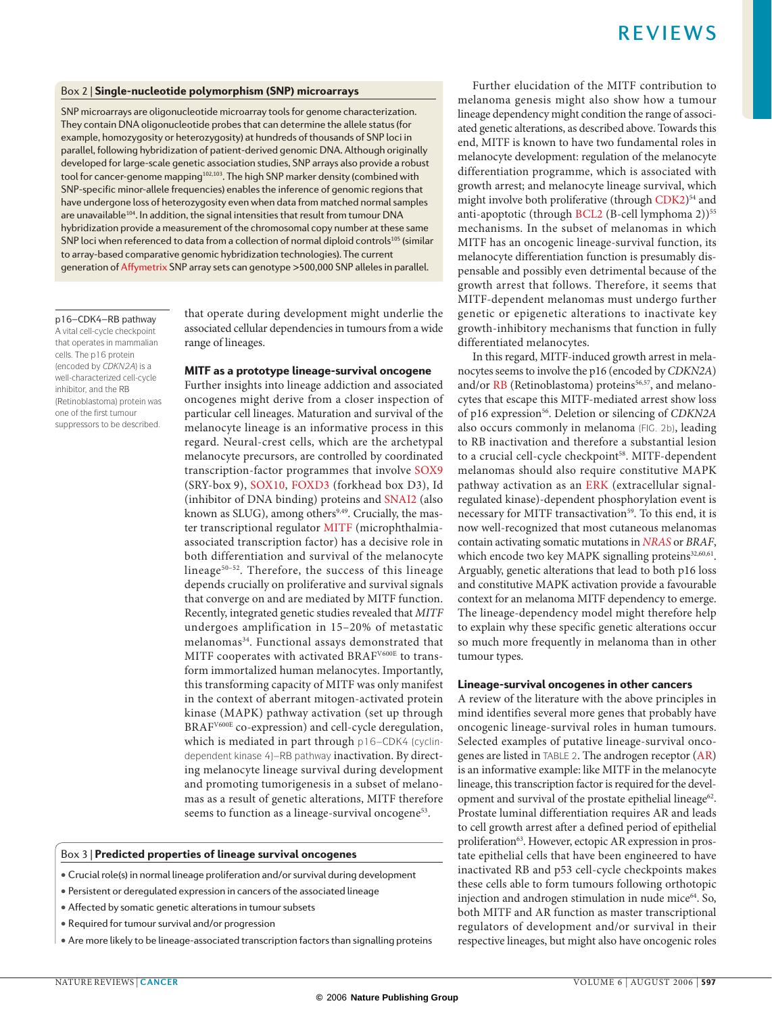### Box 2 | Single-nucleotide polymorphism (SNP) microarrays

SNP microarrays are oligonucleotide microarray tools for genome characterization. They contain DNA oligonucleotide probes that can determine the allele status (for example, homozygosity or heterozygosity) at hundreds of thousands of SNP loci in parallel, following hybridization of patient-derived genomic DNA. Although originally developed for large-scale genetic association studies, SNP arrays also provide a robust tool for cancer-genome mapping<sup>102,103</sup>. The high SNP marker density (combined with SNP-specific minor-allele frequencies) enables the inference of genomic regions that have undergone loss of heterozygosity even when data from matched normal samples are unavailable<sup>104</sup>. In addition, the signal intensities that result from tumour DNA hybridization provide a measurement of the chromosomal copy number at these same SNP loci when referenced to data from a collection of normal diploid controls<sup>105</sup> (similar to array-based comparative genomic hybridization technologies). The current generation of Affymetrix SNP array sets can genotype >500,000 SNP alleles in parallel.

### p16–CDK4–RB pathway

A vital cell-cycle checkpoint that operates in mammalian cells. The p16 protein (encoded by *CDKN2A*) is a well-characterized cell-cycle inhibitor, and the RB (Retinoblastoma) protein was one of the first tumour suppressors to be described.

that operate during development might underlie the associated cellular dependencies in tumours from a wide range of lineages.

### MITF as a prototype lineage-survival oncogene

Further insights into lineage addiction and associated oncogenes might derive from a closer inspection of particular cell lineages. Maturation and survival of the melanocyte lineage is an informative process in this regard. Neural-crest cells, which are the archetypal melanocyte precursors, are controlled by coordinated transcription-factor programmes that involve SOX9 (SRY-box 9), SOX10, FOXD3 (forkhead box D3), Id (inhibitor of DNA binding) proteins and SNAI2 (also known as SLUG), among others<sup>9,49</sup>. Crucially, the master transcriptional regulator MITF (microphthalmiaassociated transcription factor) has a decisive role in both differentiation and survival of the melanocyte lineage<sup>50-52</sup>. Therefore, the success of this lineage depends crucially on proliferative and survival signals that converge on and are mediated by MITF function. Recently, integrated genetic studies revealed that *MITF* undergoes amplification in 15–20% of metastatic melanomas34. Functional assays demonstrated that MITF cooperates with activated BRAF<sup>V600E</sup> to transform immortalized human melanocytes. Importantly, this transforming capacity of MITF was only manifest in the context of aberrant mitogen-activated protein kinase (MAPK) pathway activation (set up through BRAFV600E co-expression) and cell-cycle deregulation, which is mediated in part through p16–CDK4 (cyclindependent kinase 4)–RB pathway inactivation. By directing melanocyte lineage survival during development and promoting tumorigenesis in a subset of melanomas as a result of genetic alterations, MITF therefore seems to function as a lineage-survival oncogene<sup>53</sup>.

### Box 3 | Predicted properties of lineage survival oncogenes

- Crucial role(s) in normal lineage proliferation and/or survival during development
- Persistent or deregulated expression in cancers of the associated lineage
- Affected by somatic genetic alterations in tumour subsets
- Required for tumour survival and/or progression
- Are more likely to be lineage-associated transcription factors than signalling proteins

Further elucidation of the MITF contribution to melanoma genesis might also show how a tumour lineage dependency might condition the range of associated genetic alterations, as described above. Towards this end, MITF is known to have two fundamental roles in melanocyte development: regulation of the melanocyte differentiation programme, which is associated with growth arrest; and melanocyte lineage survival, which might involve both proliferative (through CDK2)<sup>54</sup> and anti-apoptotic (through BCL2 (B-cell lymphoma 2))<sup>55</sup> mechanisms. In the subset of melanomas in which MITF has an oncogenic lineage-survival function, its melanocyte differentiation function is presumably dispensable and possibly even detrimental because of the growth arrest that follows. Therefore, it seems that MITF-dependent melanomas must undergo further genetic or epigenetic alterations to inactivate key growth-inhibitory mechanisms that function in fully differentiated melanocytes.

In this regard, MITF-induced growth arrest in melanocytes seems to involve the p16 (encoded by *CDKN2A*) and/or RB (Retinoblastoma) proteins<sup>56,57</sup>, and melanocytes that escape this MITF-mediated arrest show loss of p16 expression56. Deletion or silencing of *CDKN2A* also occurs commonly in melanoma (FIG. 2b), leading to RB inactivation and therefore a substantial lesion to a crucial cell-cycle checkpoint<sup>58</sup>. MITF-dependent melanomas should also require constitutive MAPK pathway activation as an ERK (extracellular signalregulated kinase)-dependent phosphorylation event is necessary for MITF transactivation<sup>59</sup>. To this end, it is now well-recognized that most cutaneous melanomas contain activating somatic mutations in *NRAS* or *BRAF*, which encode two key MAPK signalling proteins<sup>32,60,61</sup>. Arguably, genetic alterations that lead to both p16 loss and constitutive MAPK activation provide a favourable context for an melanoma MITF dependency to emerge. The lineage-dependency model might therefore help to explain why these specific genetic alterations occur so much more frequently in melanoma than in other tumour types.

### Lineage-survival oncogenes in other cancers

A review of the literature with the above principles in mind identifies several more genes that probably have oncogenic lineage-survival roles in human tumours. Selected examples of putative lineage-survival oncogenes are listed in TABLE 2. The androgen receptor (AR) is an informative example: like MITF in the melanocyte lineage, this transcription factor is required for the development and survival of the prostate epithelial lineage<sup>62</sup>. Prostate luminal differentiation requires AR and leads to cell growth arrest after a defined period of epithelial proliferation<sup>63</sup>. However, ectopic AR expression in prostate epithelial cells that have been engineered to have inactivated RB and p53 cell-cycle checkpoints makes these cells able to form tumours following orthotopic injection and androgen stimulation in nude mice<sup>64</sup>. So, both MITF and AR function as master transcriptional regulators of development and/or survival in their respective lineages, but might also have oncogenic roles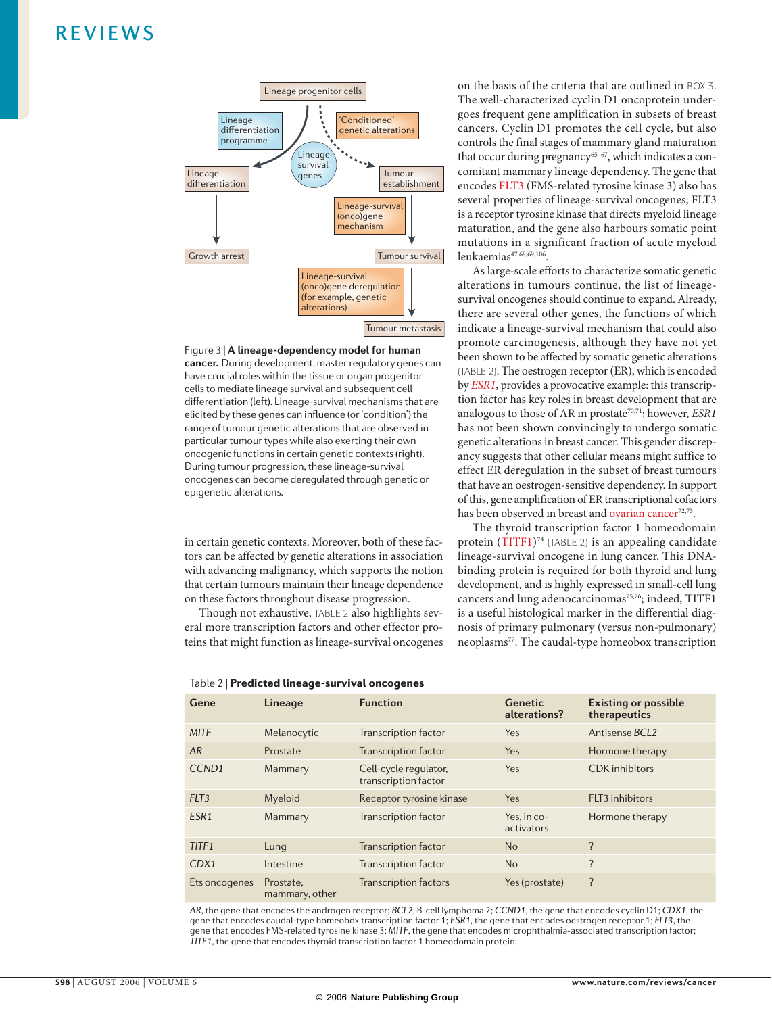

Figure 3 | **A lineage-dependency model for human cancer.** During development, master regulatory genes can have crucial roles within the tissue or organ progenitor cells to mediate lineage survival and subsequent cell differentiation (left). Lineage-survival mechanisms that are elicited by these genes can influence (or 'condition') the range of tumour genetic alterations that are observed in particular tumour types while also exerting their own oncogenic functions in certain genetic contexts (right). During tumour progression, these lineage-survival oncogenes can become deregulated through genetic or epigenetic alterations.

in certain genetic contexts. Moreover, both of these factors can be affected by genetic alterations in association with advancing malignancy, which supports the notion that certain tumours maintain their lineage dependence on these factors throughout disease progression.

Though not exhaustive, TABLE 2 also highlights several more transcription factors and other effector proteins that might function as lineage-survival oncogenes on the basis of the criteria that are outlined in BOX 3. The well-characterized cyclin D1 oncoprotein undergoes frequent gene amplification in subsets of breast cancers. Cyclin D1 promotes the cell cycle, but also controls the final stages of mammary gland maturation that occur during pregnancy<sup>65-67</sup>, which indicates a concomitant mammary lineage dependency. The gene that encodes FLT3 (FMS-related tyrosine kinase 3) also has several properties of lineage-survival oncogenes; FLT3 is a receptor tyrosine kinase that directs myeloid lineage maturation, and the gene also harbours somatic point mutations in a significant fraction of acute myeloid leukaemias<sup>47,68,69,106</sup>

As large-scale efforts to characterize somatic genetic alterations in tumours continue, the list of lineagesurvival oncogenes should continue to expand. Already, there are several other genes, the functions of which indicate a lineage-survival mechanism that could also promote carcinogenesis, although they have not yet been shown to be affected by somatic genetic alterations (TABLE 2). The oestrogen receptor (ER), which is encoded by *ESR1*, provides a provocative example: this transcription factor has key roles in breast development that are analogous to those of AR in prostate<sup>70,71</sup>; however, *ESR1* has not been shown convincingly to undergo somatic genetic alterations in breast cancer. This gender discrepancy suggests that other cellular means might suffice to effect ER deregulation in the subset of breast tumours that have an oestrogen-sensitive dependency. In support of this, gene amplification of ER transcriptional cofactors has been observed in breast and ovarian cancer<sup>72,73</sup>.

The thyroid transcription factor 1 homeodomain protein (TITF1)<sup>74</sup> (TABLE 2) is an appealing candidate lineage-survival oncogene in lung cancer. This DNAbinding protein is required for both thyroid and lung development, and is highly expressed in small-cell lung cancers and lung adenocarcinomas<sup>75,76</sup>; indeed, TITF1 is a useful histological marker in the differential diagnosis of primary pulmonary (versus non-pulmonary) neoplasms77. The caudal-type homeobox transcription

| Table 2   Predicted lineage-survival oncogenes |                             |                                               |                                |                                             |  |  |  |
|------------------------------------------------|-----------------------------|-----------------------------------------------|--------------------------------|---------------------------------------------|--|--|--|
| Gene                                           | Lineage                     | <b>Function</b>                               | <b>Genetic</b><br>alterations? | <b>Existing or possible</b><br>therapeutics |  |  |  |
| <b>MITF</b>                                    | Melanocytic                 | <b>Transcription factor</b>                   | Yes                            | Antisense BCL2                              |  |  |  |
| AR                                             | Prostate                    | <b>Transcription factor</b>                   | Yes                            | Hormone therapy                             |  |  |  |
| CCND <sub>1</sub>                              | Mammary                     | Cell-cycle regulator,<br>transcription factor | Yes                            | <b>CDK</b> inhibitors                       |  |  |  |
| FLT3                                           | Myeloid                     | Receptor tyrosine kinase                      | Yes                            | FLT3 inhibitors                             |  |  |  |
| ESR1                                           | Mammary                     | <b>Transcription factor</b>                   | Yes. in co-<br>activators      | Hormone therapy                             |  |  |  |
| TITF1                                          | Lung                        | <b>Transcription factor</b>                   | <b>No</b>                      | ?                                           |  |  |  |
| CDX1                                           | Intestine                   | <b>Transcription factor</b>                   | <b>No</b>                      | ?                                           |  |  |  |
| Ets on cogenes                                 | Prostate,<br>mammary, other | <b>Transcription factors</b>                  | Yes (prostate)                 | ?                                           |  |  |  |

*AR*, the gene that encodes the androgen receptor; *BCL2*, B-cell lymphoma 2; *CCND1*, the gene that encodes cyclin D1; *CDX1*, the gene that encodes caudal-type homeobox transcription factor 1; *ESR1*, the gene that encodes oestrogen receptor 1; *FLT3*, the gene that encodes FMS-related tyrosine kinase 3; *MITF*, the gene that encodes microphthalmia-associated transcription factor; *TITF1*, the gene that encodes thyroid transcription factor 1 homeodomain protein.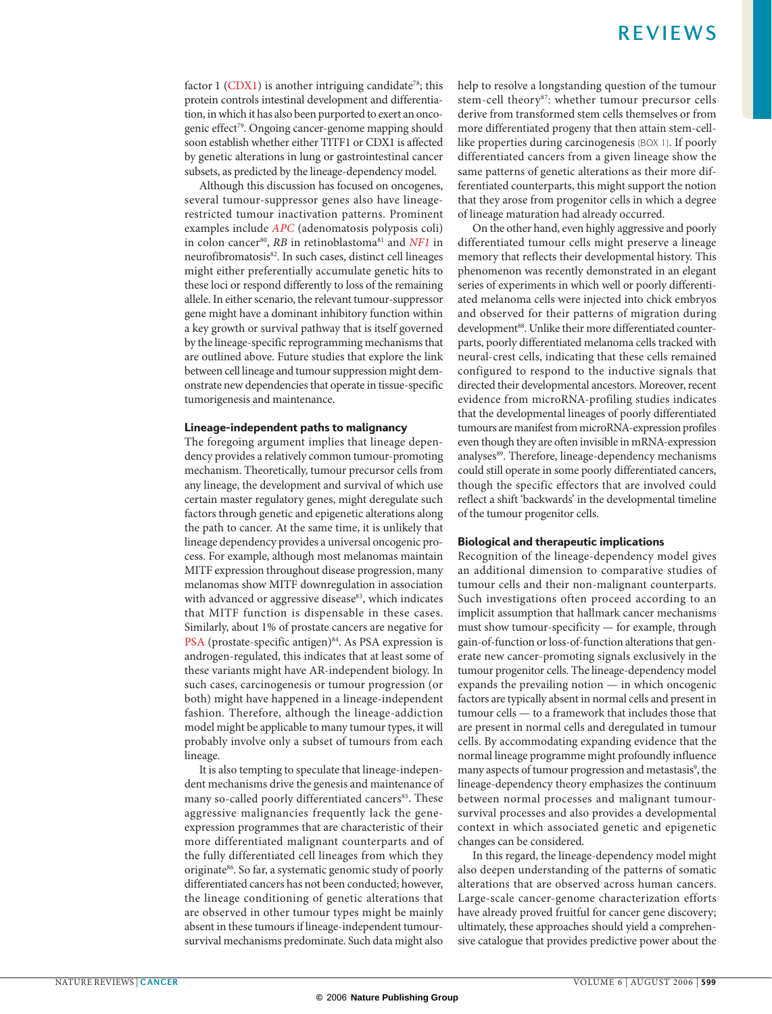factor  $1$  (CDX1) is another intriguing candidate<sup>78</sup>; this protein controls intestinal development and differentiation, in which it has also been purported to exert an oncogenic effect<sup>79</sup>. Ongoing cancer-genome mapping should soon establish whether either TITF1 or CDX1 is affected by genetic alterations in lung or gastrointestinal cancer subsets, as predicted by the lineage-dependency model.

Although this discussion has focused on oncogenes, several tumour-suppressor genes also have lineagerestricted tumour inactivation patterns. Prominent examples include *APC* (adenomatosis polyposis coli) in colon cancer<sup>80</sup>, *RB* in retinoblastoma<sup>81</sup> and *NF1* in neurofibromatosis82. In such cases, distinct cell lineages might either preferentially accumulate genetic hits to these loci or respond differently to loss of the remaining allele. In either scenario, the relevant tumour-suppressor gene might have a dominant inhibitory function within a key growth or survival pathway that is itself governed by the lineage-specific reprogramming mechanisms that are outlined above. Future studies that explore the link between cell lineage and tumour suppression might demonstrate new dependencies that operate in tissue-specific tumorigenesis and maintenance.

### Lineage-independent paths to malignancy

The foregoing argument implies that lineage dependency provides a relatively common tumour-promoting mechanism. Theoretically, tumour precursor cells from any lineage, the development and survival of which use certain master regulatory genes, might deregulate such factors through genetic and epigenetic alterations along the path to cancer. At the same time, it is unlikely that lineage dependency provides a universal oncogenic process. For example, although most melanomas maintain MITF expression throughout disease progression, many melanomas show MITF downregulation in association with advanced or aggressive disease<sup>83</sup>, which indicates that MITF function is dispensable in these cases. Similarly, about 1% of prostate cancers are negative for PSA (prostate-specific antigen)<sup>84</sup>. As PSA expression is androgen-regulated, this indicates that at least some of these variants might have AR-independent biology. In such cases, carcinogenesis or tumour progression (or both) might have happened in a lineage-independent fashion. Therefore, although the lineage-addiction model might be applicable to many tumour types, it will probably involve only a subset of tumours from each lineage.

It is also tempting to speculate that lineage-independent mechanisms drive the genesis and maintenance of many so-called poorly differentiated cancers<sup>85</sup>. These aggressive malignancies frequently lack the geneexpression programmes that are characteristic of their more differentiated malignant counterparts and of the fully differentiated cell lineages from which they originate<sup>86</sup>. So far, a systematic genomic study of poorly differentiated cancers has not been conducted; however, the lineage conditioning of genetic alterations that are observed in other tumour types might be mainly absent in these tumours if lineage-independent tumoursurvival mechanisms predominate. Such data might also help to resolve a longstanding question of the tumour stem-cell theory<sup>87</sup>: whether tumour precursor cells derive from transformed stem cells themselves or from more differentiated progeny that then attain stem-celllike properties during carcinogenesis (BOX 1). If poorly differentiated cancers from a given lineage show the same patterns of genetic alterations as their more differentiated counterparts, this might support the notion that they arose from progenitor cells in which a degree of lineage maturation had already occurred.

On the other hand, even highly aggressive and poorly differentiated tumour cells might preserve a lineage memory that reflects their developmental history. This phenomenon was recently demonstrated in an elegant series of experiments in which well or poorly differentiated melanoma cells were injected into chick embryos and observed for their patterns of migration during development<sup>88</sup>. Unlike their more differentiated counterparts, poorly differentiated melanoma cells tracked with neural-crest cells, indicating that these cells remained configured to respond to the inductive signals that directed their developmental ancestors. Moreover, recent evidence from microRNA-profiling studies indicates that the developmental lineages of poorly differentiated tumours are manifest from microRNA-expression profiles even though they are often invisible in mRNA-expression analyses<sup>89</sup>. Therefore, lineage-dependency mechanisms could still operate in some poorly differentiated cancers, though the specific effectors that are involved could reflect a shift 'backwards' in the developmental timeline of the tumour progenitor cells.

### Biological and therapeutic implications

Recognition of the lineage-dependency model gives an additional dimension to comparative studies of tumour cells and their non-malignant counterparts. Such investigations often proceed according to an implicit assumption that hallmark cancer mechanisms must show tumour-specificity — for example, through gain-of-function or loss-of-function alterations that generate new cancer-promoting signals exclusively in the tumour progenitor cells. The lineage-dependency model expands the prevailing notion — in which oncogenic factors are typically absent in normal cells and present in tumour cells — to a framework that includes those that are present in normal cells and deregulated in tumour cells. By accommodating expanding evidence that the normal lineage programme might profoundly influence many aspects of tumour progression and metastasis<sup>9</sup>, the lineage-dependency theory emphasizes the continuum between normal processes and malignant tumoursurvival processes and also provides a developmental context in which associated genetic and epigenetic changes can be considered.

In this regard, the lineage-dependency model might also deepen understanding of the patterns of somatic alterations that are observed across human cancers. Large-scale cancer-genome characterization efforts have already proved fruitful for cancer gene discovery; ultimately, these approaches should yield a comprehensive catalogue that provides predictive power about the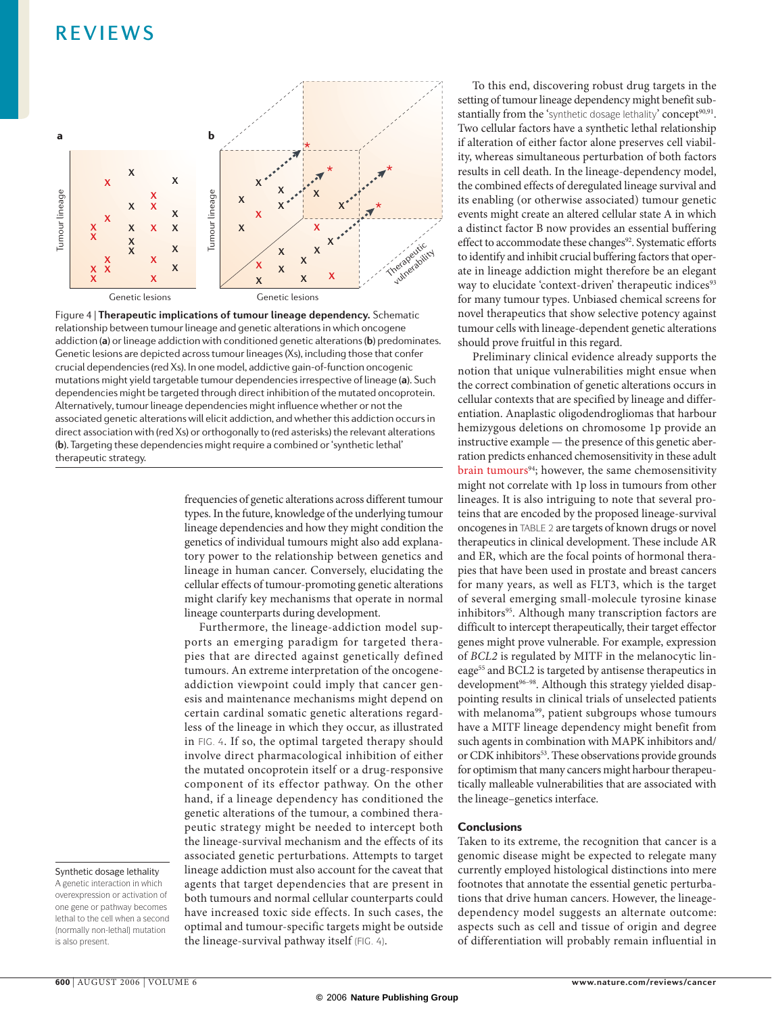

Figure 4 | **Therapeutic implications of tumour lineage dependency.** Schematic relationship between tumour lineage and genetic alterations in which oncogene addiction (**a**) or lineage addiction with conditioned genetic alterations (**b**) predominates. Genetic lesions are depicted across tumour lineages (Xs), including those that confer crucial dependencies (red Xs). In one model, addictive gain-of-function oncogenic mutations might yield targetable tumour dependencies irrespective of lineage (**a**). Such dependencies might be targeted through direct inhibition of the mutated oncoprotein. Alternatively, tumour lineage dependencies might influence whether or not the associated genetic alterations will elicit addiction, and whether this addiction occurs in direct association with (red Xs) or orthogonally to (red asterisks) the relevant alterations (**b**). Targeting these dependencies might require a combined or 'synthetic lethal' therapeutic strategy.

frequencies of genetic alterations across different tumour types. In the future, knowledge of the underlying tumour lineage dependencies and how they might condition the genetics of individual tumours might also add explanatory power to the relationship between genetics and lineage in human cancer. Conversely, elucidating the cellular effects of tumour-promoting genetic alterations might clarify key mechanisms that operate in normal lineage counterparts during development.

Furthermore, the lineage-addiction model supports an emerging paradigm for targeted therapies that are directed against genetically defined tumours. An extreme interpretation of the oncogeneaddiction viewpoint could imply that cancer genesis and maintenance mechanisms might depend on certain cardinal somatic genetic alterations regardless of the lineage in which they occur, as illustrated in FIG. 4. If so, the optimal targeted therapy should involve direct pharmacological inhibition of either the mutated oncoprotein itself or a drug-responsive component of its effector pathway. On the other hand, if a lineage dependency has conditioned the genetic alterations of the tumour, a combined therapeutic strategy might be needed to intercept both the lineage-survival mechanism and the effects of its associated genetic perturbations. Attempts to target lineage addiction must also account for the caveat that agents that target dependencies that are present in both tumours and normal cellular counterparts could have increased toxic side effects. In such cases, the optimal and tumour-specific targets might be outside the lineage-survival pathway itself (FIG. 4).

To this end, discovering robust drug targets in the setting of tumour lineage dependency might benefit substantially from the 'synthetic dosage lethality' concept<sup>90,91</sup>. Two cellular factors have a synthetic lethal relationship if alteration of either factor alone preserves cell viability, whereas simultaneous perturbation of both factors results in cell death. In the lineage-dependency model, the combined effects of deregulated lineage survival and its enabling (or otherwise associated) tumour genetic events might create an altered cellular state A in which a distinct factor B now provides an essential buffering effect to accommodate these changes<sup>92</sup>. Systematic efforts to identify and inhibit crucial buffering factors that operate in lineage addiction might therefore be an elegant way to elucidate 'context-driven' therapeutic indices<sup>93</sup> for many tumour types. Unbiased chemical screens for novel therapeutics that show selective potency against tumour cells with lineage-dependent genetic alterations should prove fruitful in this regard.

Preliminary clinical evidence already supports the notion that unique vulnerabilities might ensue when the correct combination of genetic alterations occurs in cellular contexts that are specified by lineage and differentiation. Anaplastic oligodendrogliomas that harbour hemizygous deletions on chromosome 1p provide an instructive example — the presence of this genetic aberration predicts enhanced chemosensitivity in these adult brain tumours<sup>94</sup>; however, the same chemosensitivity might not correlate with 1p loss in tumours from other lineages. It is also intriguing to note that several proteins that are encoded by the proposed lineage-survival oncogenes in TABLE 2 are targets of known drugs or novel therapeutics in clinical development. These include AR and ER, which are the focal points of hormonal therapies that have been used in prostate and breast cancers for many years, as well as FLT3, which is the target of several emerging small-molecule tyrosine kinase inhibitors<sup>95</sup>. Although many transcription factors are difficult to intercept therapeutically, their target effector genes might prove vulnerable. For example, expression of *BCL2* is regulated by MITF in the melanocytic lineage<sup>55</sup> and BCL2 is targeted by antisense therapeutics in development<sup>96-98</sup>. Although this strategy yielded disappointing results in clinical trials of unselected patients with melanoma<sup>99</sup>, patient subgroups whose tumours have a MITF lineage dependency might benefit from such agents in combination with MAPK inhibitors and/ or CDK inhibitors<sup>53</sup>. These observations provide grounds for optimism that many cancers might harbour therapeutically malleable vulnerabilities that are associated with the lineage–genetics interface.

### **Conclusions**

Taken to its extreme, the recognition that cancer is a genomic disease might be expected to relegate many currently employed histological distinctions into mere footnotes that annotate the essential genetic perturbations that drive human cancers. However, the lineagedependency model suggests an alternate outcome: aspects such as cell and tissue of origin and degree of differentiation will probably remain influential in

### Synthetic dosage lethality

A genetic interaction in which overexpression or activation of one gene or pathway becomes lethal to the cell when a second (normally non-lethal) mutation is also present.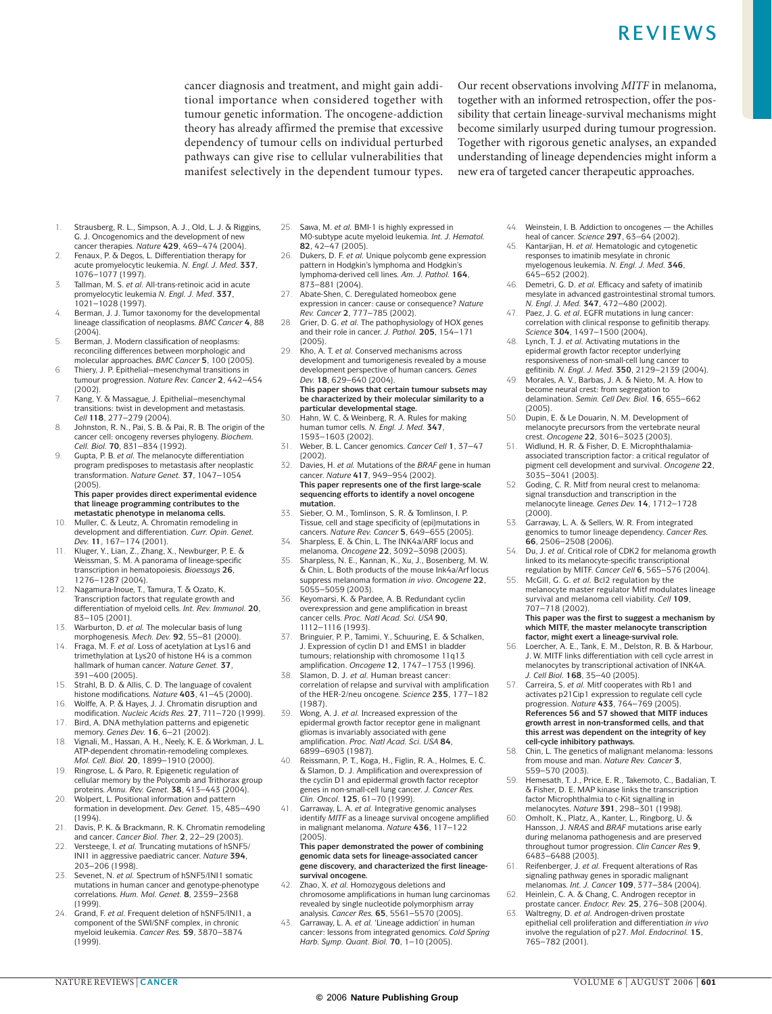cancer diagnosis and treatment, and might gain additional importance when considered together with tumour genetic information. The oncogene-addiction theory has already affirmed the premise that excessive dependency of tumour cells on individual perturbed pathways can give rise to cellular vulnerabilities that manifest selectively in the dependent tumour types.

Our recent observations involving *MITF* in melanoma, together with an informed retrospection, offer the possibility that certain lineage-survival mechanisms might become similarly usurped during tumour progression. Together with rigorous genetic analyses, an expanded understanding of lineage dependencies might inform a new era of targeted cancer therapeutic approaches.

- 1. Strausberg, R. L., Simpson, A. J., Old, L. J. & Riggins, G. J. Oncogenomics and the development of new cancer therapies. *Nature* **429**, 469–474 (2004).
- 2. Fenaux, P. & Degos, L. Differentiation therapy for acute promyelocytic leukemia. *N. Engl. J. Med.* **337**, 1076–1077 (1997).
- 3. Tallman, M. S. *et al.* All-trans-retinoic acid in acute promyelocytic leukemia *N. Engl. J. Med*. **337**, 1021–1028 (1997).
- 4. Berman, J. J. Tumor taxonomy for the developmental lineage classification of neoplasms. *BMC Cancer* **4**, 88 (2004).
- 5. Berman, J. Modern classification of neoplasms: reconciling differences between morphologic and molecular approaches. *BMC Cancer* **5**, 100 (2005).
- 6. Thiery, J. P. Epithelial–mesenchymal transitions in tumour progression. *Nature Rev. Cancer* **2**, 442–454 (2002).
- 7. Kang, Y. & Massague, J. Epithelial–mesenchymal transitions: twist in development and metastasis. *Cell* **118**, 277–279 (2004).
- 8. Johnston, R. N., Pai, S. B. & Pai, R. B. The origin of the cancer cell: oncogeny reverses phylogeny. *Biochem. Cell. Biol.* **70**, 831–834 (1992).
- 9. Gupta, P. B. *et al.* The melanocyte differentiation program predisposes to metastasis after neoplastic transformation. *Nature Genet.* **37**, 1047–1054 (2005). **This paper provides direct experimental evidence that lineage programming contributes to the**

**metastatic phenotype in melanoma cells.** 10. Muller, C. & Leutz, A. Chromatin remodeling in

- development and differentiation. *Curr. Opin. Genet. Dev.* **11**, 167–174 (2001).
- 11. Kluger, Y., Lian, Z., Zhang, X., Newburger, P. E. & Weissman, S. M. A panorama of lineage-specific transcription in hematopoiesis. *Bioessays* **26**, 1276–1287 (2004).
- 12. Nagamura-Inoue, T., Tamura, T. & Ozato, K. Transcription factors that regulate growth and differentiation of myeloid cells. *Int. Rev. Immunol.* **20**, 83–105 (2001).
- 13. Warburton, D. *et al.* The molecular basis of lung morphogenesis. *Mech. Dev.* **92**, 55–81 (2000).
- 14. Fraga, M. F. *et al.* Loss of acetylation at Lys16 and trimethylation at Lys20 of histone H4 is a common hallmark of human cancer. *Nature Genet.* **37**, 391–400 (2005).
- 15. Strahl, B. D. & Allis, C. D. The language of covalent histone modifications. *Nature* **403**, 41–45 (2000).
- 16. Wolffe, A. P. & Hayes, J. J. Chromatin disruption and modification. *Nucleic Acids Res.* **27**, 711–720 (1999). 17. Bird, A. DNA methylation patterns and epigenetic
- memory. *Genes Dev.* **16**, 6–21 (2002). 18. Vignali, M., Hassan, A. H., Neely, K. E. & Workman, J. L.
- ATP-dependent chromatin-remodeling complexes. *Mol. Cell. Biol.* **20**, 1899–1910 (2000).
- 19. Ringrose, L. & Paro, R. Epigenetic regulation of cellular memory by the Polycomb and Trithorax group proteins. *Annu. Rev. Genet.* **38**, 413–443 (2004).
- 20. Wolpert, L. Positional information and pattern formation in development. *Dev. Genet.* 15, 485–490 (1994).
- 21. Davis, P. K. & Brackmann, R. K. Chromatin remodeling and cancer. *Cancer Biol. Ther.* **2**, 22–29 (2003).
- 22. Versteege, I. *et al.* Truncating mutations of hSNF5/ INI1 in aggressive paediatric cancer. *Nature* **394**, 203–206 (1998).
- 23. Sevenet, N. *et al.* Spectrum of hSNF5/INI1 somatic mutations in human cancer and genotype-phenotype correlations. *Hum. Mol. Genet.* **8**, 2359–2368 (1999).
- 24. Grand, F. *et al.* Frequent deletion of hSNF5/INI1, a component of the SWI/SNF complex, in chronic myeloid leukemia. *Cancer Res.* **59**, 3870–3874 (1999).
- 25. Sawa, M. *et al.* BMI-1 is highly expressed in M0-subtype acute myeloid leukemia. *Int. J. Hematol.* **82**, 42–47 (2005).
- 26. Dukers, D. F. *et al.* Unique polycomb gene expression pattern in Hodgkin's lymphoma and Hodgkin's lymphoma-derived cell lines. *Am. J. Pathol.* **164**, 873–881 (2004).
- Abate-Shen, C. Deregulated homeobox gene expression in cancer: cause or consequence? *Nature Rev. Cancer* **2**, 777–785 (2002).
- 28. Grier, D. G. *et al.* The pathophysiology of HOX genes and their role in cancer. *J. Pathol.* **205**, 154–171 (2005).
- 29. Kho, A. T. *et al.* Conserved mechanisms across development and tumorigenesis revealed by a mouse development perspective of human cancers. *Genes Dev.* **18**, 629–640 (2004). **This paper shows that certain tumour subsets may**

**be characterized by their molecular similarity to a particular developmental stage.** 30. Hahn, W. C. & Weinberg, R. A. Rules for making

- human tumor cells. *N. Engl. J. Med.* **347**, 1593–1603 (2002). 31. Weber, B. L. Cancer genomics. *Cancer Cell* **1**, 37–47
- (2002).
- 32. Davies, H. *et al.* Mutations of the *BRAF* gene in human cancer. *Nature* **417**, 949–954 (2002). **This paper represents one of the first large-scale sequencing efforts to identify a novel oncogene mutation.**
- 33. Sieber, O. M., Tomlinson, S. R. & Tomlinson, I. P. Tissue, cell and stage specificity of (epi)mutations in cancers. *Nature Rev. Cancer* **5**, 649–655 (2005).
- 34. Sharpless, E. & Chin, L. The INK4a/ARF locus and melanoma. *Oncogene* **22**, 3092–3098 (2003).
- 35. Sharpless, N. E., Kannan, K., Xu, J., Bosenberg, M. W. & Chin, L. Both products of the mouse Ink4a/Arf locus suppress melanoma formation *in vivo*. *Oncogene* **22**, 5055–5059 (2003).
- 36. Keyomarsi, K. & Pardee, A. B. Redundant cyclin overexpression and gene amplification in breast cancer cells. *Proc. Natl Acad. Sci. USA* **90**, 1112–1116 (1993).
- 37. Bringuier, P. P., Tamimi, Y., Schuuring, E. & Schalken, J. Expression of cyclin D1 and EMS1 in bladder tumours; relationship with chromosome 11q13 amplification. *Oncogene* **12**, 1747–1753 (1996).
- 38. Slamon, D. J. *et al.* Human breast cancer: correlation of relapse and survival with amplification of the HER-2/neu oncogene. *Science* **235**, 177–182 (1987).
- 39. Wong, A. J. *et al.* Increased expression of the epidermal growth factor receptor gene in malignant gliomas is invariably associated with gene amplification. *Proc. Natl Acad. Sci. USA* **84**, 6899–6903 (1987).
- 40. Reissmann, P. T., Koga, H., Figlin, R. A., Holmes, E. C. & Slamon, D. J. Amplification and overexpression of the cyclin D1 and epidermal growth factor receptor genes in non-small-cell lung cancer. *J. Cancer Res. Clin. Oncol.* **125**, 61–70 (1999).
- 41. Garraway, L. A. *et al.* Integrative genomic analyses identify *MITF* as a lineage survival oncogene amplified in malignant melanoma. *Nature* **436**, 117–122 (2005).

**This paper demonstrated the power of combining genomic data sets for lineage-associated cancer gene discovery, and characterized the first lineagesurvival oncogene.**

- 42. Zhao, X. *et al.* Homozygous deletions and chromosome amplifications in human lung carcinomas revealed by single nucleotide polymorphism array analysis. *Cancer Res.* **65**, 5561–5570 (2005).
- 43. Garraway, L. A. *et al.* 'Lineage addiction' in human cancer: lessons from integrated genomics. *Cold Spring Harb. Symp. Quant. Biol.* **70**, 1–10 (2005).
- 44. Weinstein, I. B. Addiction to oncogenes the Achilles heal of cancer. *Science* **297**, 63–64 (2002).
- 45. Kantarjian, H. *et al.* Hematologic and cytogenetic responses to imatinib mesylate in chronic myelogenous leukemia. *N. Engl. J. Med.* **346**, 645–652 (2002).
- 46. Demetri, G. D. *et al.* Efficacy and safety of imatinib mesylate in advanced gastrointestinal stromal tumors. *N. Engl. J. Med.* **347**, 472–480 (2002).
- 47. Paez, J. G. *et al*. EGFR mutations in lung cancer: correlation with clinical response to gefinitib therapy. *Science* **304**, 1497–1500 (2004).
- 48. Lynch, T. J. *et al.* Activating mutations in the epidermal growth factor receptor underlying responsiveness of non-small-cell lung cancer to gefitinib. *N. Engl. J. Med.* **350**, 2129–2139 (2004).
- 49. Morales, A. V., Barbas, J. A. & Nieto, M. A. How to become neural crest: from segregation to delamination. *Semin. Cell Dev. Biol.* **16**, 655–662 (2005).
- 50. Dupin, E. & Le Douarin, N. M. Development of melanocyte precursors from the vertebrate neural crest. *Oncogene* **22**, 3016–3023 (2003).
- 51. Widlund, H. R. & Fisher, D. E. Microphthalamiaassociated transcription factor: a critical regulator of pigment cell development and survival. *Oncogene* **22**, 3035–3041 (2003).
- 52. Goding, C. R. Mitf from neural crest to melanoma: signal transduction and transcription in the melanocyte lineage. *Genes Dev.* **14**, 1712–1728 (2000).
- 53. Garraway, L. A. & Sellers, W. R. From integrated genomics to tumor lineage dependency. *Cancer Res.* **66**, 2506–2508 (2006).
- 54. Du, J. *et al.* Critical role of CDK2 for melanoma growth linked to its melanocyte-specific transcriptional regulation by MITF. *Cancer Cell* **6**, 565–576 (2004).
- 55. McGill, G. G. *et al.* Bcl2 regulation by the melanocyte master regulator Mitf modulates lineage survival and melanoma cell viability. *Cell* **109**, 707–718 (2002).

#### **This paper was the first to suggest a mechanism by which MITF, the master melanocyte transcription factor, might exert a lineage-survival role.**

- 56. Loercher, A. E., Tank, E. M., Delston, R. B. & Harbour, J. W. MITF links differentiation with cell cycle arrest in melanocytes by transcriptional activation of INK4A. *J. Cell Biol.* **168**, 35–40 (2005).
- 57. Carreira, S. *et al.* Mitf cooperates with Rb1 and activates p21Cip1 expression to regulate cell cycle progression. *Nature* **433**, 764–769 (2005). **References 56 and 57 showed that MITF induces growth arrest in non-transformed cells, and that this arrest was dependent on the integrity of key cell-cycle inhibitory pathways.**
- 58. Chin, L. The genetics of malignant melanoma: lessons from mouse and man. *Nature Rev. Cancer* **3**, 559–570 (2003).
- 59. Hemesath, T. J., Price, E. R., Takemoto, C., Badalian, T. & Fisher, D. E. MAP kinase links the transcription factor Microphthalmia to c-Kit signalling in melanocytes. *Nature* **391**, 298–301 (1998).
- 60. Omholt, K., Platz, A., Kanter, L., Ringborg, U. & Hansson, J. *NRAS* and *BRAF* mutations arise early during melanoma pathogenesis and are preserved throughout tumor progression. *Clin Cancer Res* **9**, 6483–6488 (2003).
- 61. Reifenberger, J. *et al.* Frequent alterations of Ras signaling pathway genes in sporadic malignant melanomas. *Int. J. Cancer* **109**, 377–384 (2004).
- 62. Heinlein, C. A. & Chang, C. Androgen receptor in prostate cancer. *Endocr. Rev.* **25**, 276–308 (2004). 63. Waltregny, D. *et al.* Androgen-driven prostate
- epithelial cell proliferation and differentiation *in vivo* involve the regulation of p27. *Mol. Endocrinol.* **15**, 765–782 (2001).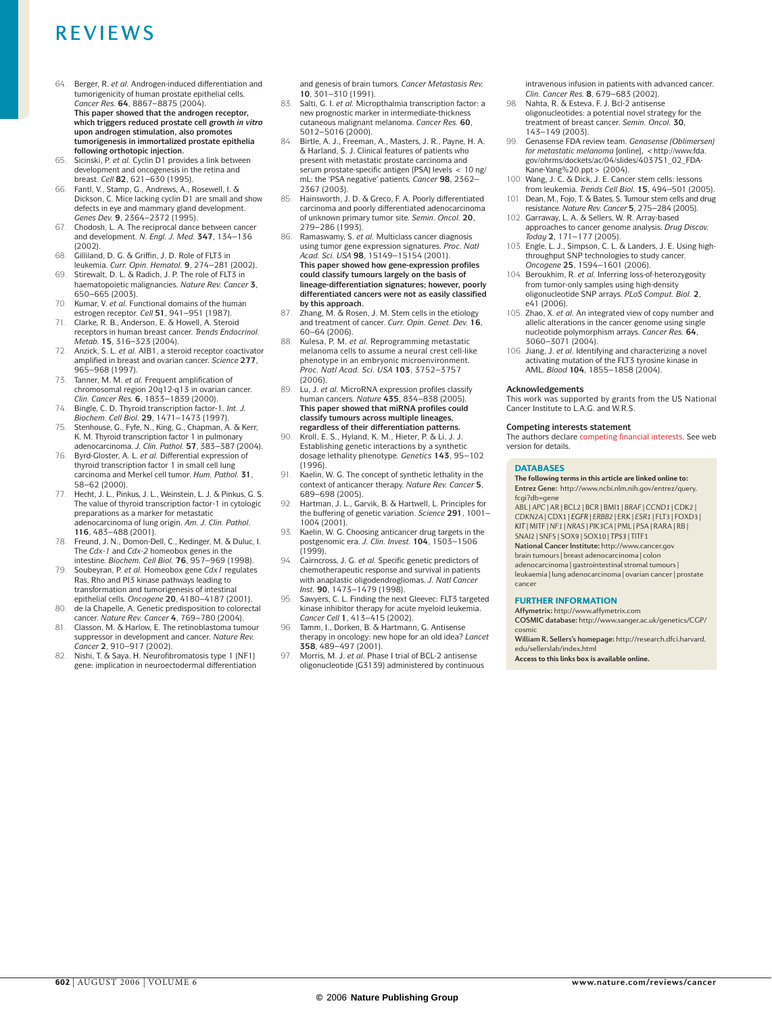- 64. Berger, R. *et al.* Androgen-induced differentiation and tumorigenicity of human prostate epithelial cells. *Cancer Res.* **64**, 8867–8875 (2004). **This paper showed that the androgen receptor, which triggers reduced prostate cell growth** *in vitro* **upon androgen stimulation, also promotes tumorigenesis in immortalized prostate epithelia following orthotopic injection.**
- 65. Sicinski, P. *et al.* Cyclin D1 provides a link between development and oncogenesis in the retina and breast. *Cell* **82**, 621–630 (1995).
- 66. Fantl, V., Stamp, G., Andrews, A., Rosewell, I. & Dickson, C. Mice lacking cyclin D1 are small and show defects in eye and mammary gland development. *Genes Dev.* **9**, 2364–2372 (1995).
- 67. Chodosh, L. A. The reciprocal dance between cancer and development. *N. Engl. J. Med.* **347**, 134–136 (2002).
- 68. Gilliland, D. G. & Griffin, J. D. Role of FLT3 in
- leukemia. *Curr. Opin. Hematol.* **9**, 274–281 (2002). 69. Stirewalt, D. L. & Radich, J. P. The role of FLT3 in haematopoietic malignancies. *Nature Rev. Cancer* **3**, 650–665 (2003).
- 70. Kumar, V. *et al.* Functional domains of the human
- estrogen receptor. *Cell* **51**, 941–951 (1987). 71. Clarke, R. B., Anderson, E. & Howell, A. Steroid receptors in human breast cancer. *Trends Endocrinol. Metab.* **15**, 316–323 (2004).
- 72. Anzick, S. L. *et al.* AIB1, a steroid receptor coactivator amplified in breast and ovarian cancer. *Science* **277**, 965–968 (1997).
- 73. Tanner, M. M. *et al.* Frequent amplification of chromosomal region 20q12-q13 in ovarian cancer. *Clin. Cancer Res.* **6**, 1833–1839 (2000).
- 74. Bingle, C. D. Thyroid transcription factor-1. *Int. J. Biochem. Cell Biol.* **29**, 1471–1473 (1997).
- 75. Stenhouse, G., Fyfe, N., King, G., Chapman, A. & Kerr, K. M. Thyroid transcription factor 1 in pulmonary adenocarcinoma. *J. Clin. Pathol.* **57**, 383–387 (2004).
- 76. Byrd-Gloster, A. L. *et al.* Differential expression of thyroid transcription factor 1 in small cell lung carcinoma and Merkel cell tumor. *Hum. Pathol.* **31**, 58–62 (2000).
- 77. Hecht, J. L., Pinkus, J. L., Weinstein, L. J. & Pinkus, G. S. The value of thyroid transcription factor-1 in cytologic preparations as a marker for metastatic adenocarcinoma of lung origin. *Am. J. Clin. Pathol.* **116**, 483–488 (2001).
- 78. Freund, J. N., Domon-Dell, C., Kedinger, M. & Duluc, I. The *Cdx-1* and *Cdx-2* homeobox genes in the intestine. *Biochem. Cell Biol.* **76**, 957–969 (1998).
- 79. Soubeyran, P. *et al.* Homeobox gene *Cdx1* regulates Ras, Rho and PI3 kinase pathways leading to transformation and tumorigenesis of intestinal
- epithelial cells. *Oncogene* **20**, 4180–4187 (2001). 80. de la Chapelle, A. Genetic predisposition to colorectal cancer. *Nature Rev. Cancer* **4**, 769–780 (2004).
- 81. Classon, M. & Harlow, E. The retinoblastoma tumour suppressor in development and cancer. *Nature Rev. Cancer* **2**, 910–917 (2002).
- 82. Nishi, T. & Saya, H. Neurofibromatosis type 1 (NF1) gene: implication in neuroectodermal differentiation

and genesis of brain tumors. *Cancer Metastasis Rev.* **10**, 301–310 (1991).

- 83. Salti, G. I. *et al.* Micropthalmia transcription factor: a new prognostic marker in intermediate-thickness cutaneous malignant melanoma. *Cancer Res.* **60**, 5012–5016 (2000).
- Birtle, A. J., Freeman, A., Masters, J. R., Payne, H. A. & Harland, S. J. Clinical features of patients who present with metastatic prostate carcinoma and serum prostate-specific antigen (PSA) levels < 10 ng/ mL: the 'PSA negative' patients. *Cancer* **98**, 2362– 2367 (2003).
- 85. Hainsworth, J. D. & Greco, F. A. Poorly differentiated carcinoma and poorly differentiated adenocarcinoma of unknown primary tumor site. *Semin. Oncol.* **20**, 279–286 (1993).
- Ramaswamy, S. et al. Multiclass cancer diagnosis using tumor gene expression signatures. *Proc. Natl Acad. Sci. USA* **98**, 15149–15154 (2001). **This paper showed how gene-expression profiles could classify tumours largely on the basis of lineage-differentiation signatures; however, poorly differentiated cancers were not as easily classified by this approach.**
- 87. Zhang, M. & Rosen, J. M. Stem cells in the etiology and treatment of cancer. *Curr. Opin. Genet. Dev.* **16**, 60–64 (2006).
- 88. Kulesa, P. M. *et al.* Reprogramming metastatic melanoma cells to assume a neural crest cell-like phenotype in an embryonic microenvironment. *Proc. Natl Acad. Sci. USA* **103**, 3752–3757 (2006).
- 89. Lu, J. *et al.* MicroRNA expression profiles classify human cancers. *Nature* **435**, 834–838 (2005). **This paper showed that miRNA profiles could classify tumours across multiple lineages, regardless of their differentiation patterns.**
- 90. Kroll, E. S., Hyland, K. M., Hieter, P. & Li, J. J. Establishing genetic interactions by a synthetic dosage lethality phenotype. *Genetics* **143**, 95–102 (1996).
- 91. Kaelin, W. G. The concept of synthetic lethality in the context of anticancer therapy. *Nature Rev. Cancer* **5**, 689–698 (2005).
- 92. Hartman, J. L., Garvik, B. & Hartwell, L. Principles for the buffering of genetic variation. *Science* **291**, 1001– 1004 (2001).
- 93. Kaelin, W. G. Choosing anticancer drug targets in the postgenomic era. *J. Clin. Invest.* **104**, 1503–1506 (1999).
- 94. Cairncross, J. G. *et al.* Specific genetic predictors of chemotherapeutic response and survival in patients with anaplastic oligodendrogliomas. *J. Natl Cancer Inst.* **90**, 1473–1479 (1998).
- 95. Sawyers, C. L. Finding the next Gleevec: FLT3 targeted kinase inhibitor therapy for acute myeloid leukemia. *Cancer Cell* **1**, 413–415 (2002).
- 96. Tamm, I., Dorken, B. & Hartmann, G. Antisense therapy in oncology: new hope for an old idea? *Lancet* **358**, 489–497 (2001).
- 97. Morris, M. J. *et al.* Phase I trial of BCL-2 antisense oligonucleotide (G3139) administered by continuous

intravenous infusion in patients with advanced cancer. *Clin. Cancer Res.* **8**, 679–683 (2002).

- 98. Nahta, R. & Esteva, F. J. Bcl-2 antisense oligonucleotides: a potential novel strategy for the treatment of breast cancer. *Semin. Oncol.* **30**, 143–149 (2003).
- 99. Genasense FDA review team. *Genasense (Oblimersen)*  for metastatic melanoma [online], <http://www.fda. gov/ohrms/dockets/ac/04/slides/4037S1\_02\_FDA-
- Kane-Yang%20.ppt > (2004).<br>100. Wang, J. C. & Dick, J. E. Cancer stem cells: lessons from leukemia. *Trends Cell Biol.* **15**, 494–501 (2005).
- 101. Dean, M., Fojo, T. & Bates, S. Tumour stem cells and drug
- resistance. *Nature Rev. Cancer* **5**, 275–284 (2005). 102. Garraway, L. A. & Sellers, W. R. Array-based approaches to cancer genome analysis. *Drug Discov. Today* **2**, 171–177 (2005).
- 103. Engle, L. J., Simpson, C. L. & Landers, J. E. Using highthroughput SNP technologies to study cancer. *Oncogene* **25**, 1594–1601 (2006).
- 104. Beroukhim, R. *et al.* Inferring loss-of-heterozygosity from tumor-only samples using high-density oligonucleotide SNP arrays. *PLoS Comput. Biol.* **2**, e41 (2006).
- 105. Zhao, X. *et al.* An integrated view of copy number and allelic alterations in the cancer genome using single nucleotide polymorphism arrays. *Cancer Res.* **64**, 3060–3071 (2004).
- 106. Jiang, J. *et al*. Identifying and characterizing a novel activating mutation of the FLT3 tyrosine kinase in AML. *Blood* **104**, 1855–1858 (2004).

#### **Acknowledgements**

This work was supported by grants from the US National Cancer Institute to L.A.G. and W.R.S.

#### **Competing interests statement**

The authors declare competing financial interests. See web version for details.

#### DATABASES

**The following terms in this article are linked online to:** Entrez Gene: http://www.ncbi.nlm.nih.gov/entrez/query. fcgi?db=gene

ABL | APC | AR | BCL2 | BCR | BMI1 | BRAF | CCND1 | CDK2 | CDKN2A | CDX1 | *EGFR* | ERBB2 | ERK | ESR1 | FLT3 | FOXD3 | *KIT* | MITF | NF1 | NRAS | PIK3CA | PML | PSA | RARA | RB | SNAI2 | SNF5 | SOX9 | SOX10 | *TP53* | TITF1

National Cancer Institute: http://www.cancer.gov brain tumours | breast adenocarcinoma | colon

adenocarcinoma | gastrointestinal stromal tumours | leukaemia | lung adenocarcinoma | ovarian cancer | prostate cancer

### FURTHER INFORMATION

Affymetrix: http://www.affymetrix.com COSMIC database: http://www.sanger.ac.uk/genetics/CGP/ cosmic

William R. Sellers's homepage: http://research.dfci.harvard. edu/sellerslab/index.html

**Access to this links box is available online.**